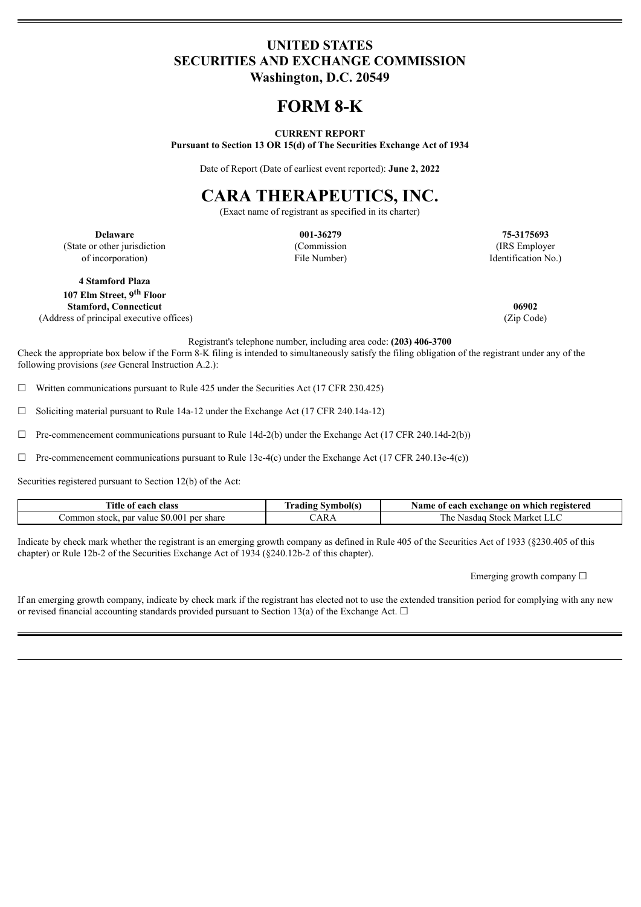### **UNITED STATES SECURITIES AND EXCHANGE COMMISSION Washington, D.C. 20549**

## **FORM 8-K**

#### **CURRENT REPORT**

**Pursuant to Section 13 OR 15(d) of The Securities Exchange Act of 1934**

Date of Report (Date of earliest event reported): **June 2, 2022**

# **CARA THERAPEUTICS, INC.**

(Exact name of registrant as specified in its charter)

**Delaware 001-36279 75-3175693** (State or other jurisdiction of incorporation)

(Commission File Number)

(IRS Employer Identification No.)

**4 Stamford Plaza 107 Elm Street, 9 th Floor Stamford, Connecticut 06902** (Address of principal executive offices) (Zip Code)

Registrant's telephone number, including area code: **(203) 406-3700**

Check the appropriate box below if the Form 8-K filing is intended to simultaneously satisfy the filing obligation of the registrant under any of the following provisions (*see* General Instruction A.2.):

 $\Box$  Written communications pursuant to Rule 425 under the Securities Act (17 CFR 230.425)

☐ Soliciting material pursuant to Rule 14a-12 under the Exchange Act (17 CFR 240.14a-12)

 $\Box$  Pre-commencement communications pursuant to Rule 14d-2(b) under the Exchange Act (17 CFR 240.14d-2(b))

 $\Box$  Pre-commencement communications pursuant to Rule 13e-4(c) under the Exchange Act (17 CFR 240.13e-4(c))

Securities registered pursuant to Section 12(b) of the Act:

| $-1$<br>`itle<br>each<br>class<br>-01                     | <b>Tadıng</b><br>. . <del>.</del> | registered<br>Name<br>exchange<br>: 0 n<br>each<br>∵which r<br>-01 |
|-----------------------------------------------------------|-----------------------------------|--------------------------------------------------------------------|
| .0.001<br>par<br>share<br>.ommon<br>per<br>stock<br>value | $'AR_t$                           | $-$<br>Market<br>he<br>Stock.<br>Nasdac                            |

Indicate by check mark whether the registrant is an emerging growth company as defined in Rule 405 of the Securities Act of 1933 (§230.405 of this chapter) or Rule 12b-2 of the Securities Exchange Act of 1934 (§240.12b-2 of this chapter).

Emerging growth company  $\Box$ 

If an emerging growth company, indicate by check mark if the registrant has elected not to use the extended transition period for complying with any new or revised financial accounting standards provided pursuant to Section 13(a) of the Exchange Act.  $\Box$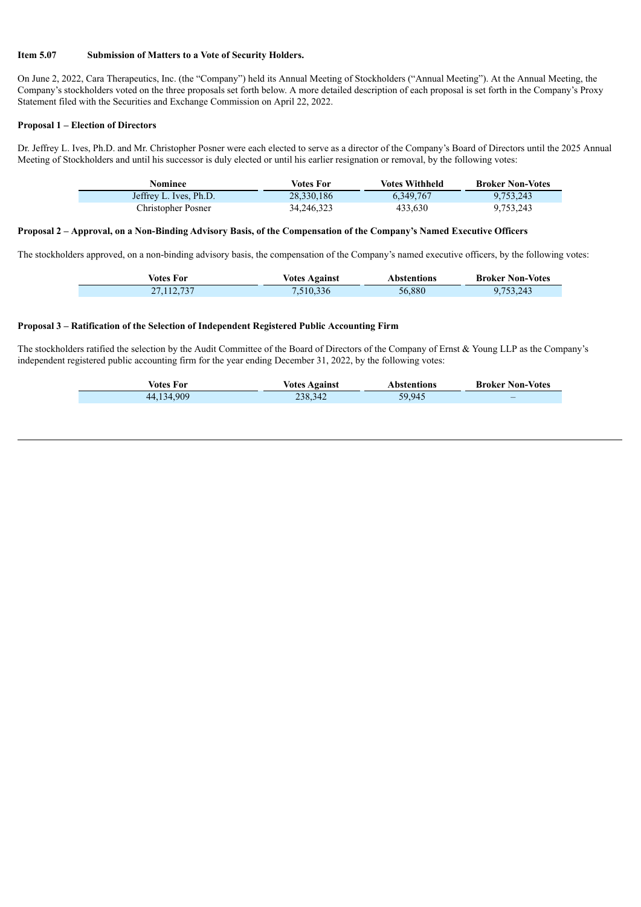#### **Item 5.07 Submission of Matters to a Vote of Security Holders.**

On June 2, 2022, Cara Therapeutics, Inc. (the "Company") held its Annual Meeting of Stockholders ("Annual Meeting"). At the Annual Meeting, the Company's stockholders voted on the three proposals set forth below. A more detailed description of each proposal is set forth in the Company's Proxy Statement filed with the Securities and Exchange Commission on April 22, 2022.

#### **Proposal 1 – Election of Directors**

Dr. Jeffrey L. Ives, Ph.D. and Mr. Christopher Posner were each elected to serve as a director of the Company's Board of Directors until the 2025 Annual Meeting of Stockholders and until his successor is duly elected or until his earlier resignation or removal, by the following votes:

| Nominee                | Votes For  | <b>Votes Withheld</b> | <b>Broker Non-Votes</b> |
|------------------------|------------|-----------------------|-------------------------|
| Jeffrey L. Ives, Ph.D. | 28,330,186 | 6.349.767             | 9.753.243               |
| Christopher Posner     | 34,246,323 | 433.630               | 9,753,243               |

#### Proposal 2 - Approval, on a Non-Binding Advisory Basis, of the Compensation of the Company's Named Executive Officers

The stockholders approved, on a non-binding advisory basis, the compensation of the Company's named executive officers, by the following votes:

| Votes For    | <b>Votes Against</b> | Abstentions | <b>Broker Non-Votes</b> |
|--------------|----------------------|-------------|-------------------------|
| 27, 112, 737 | .510,336             | 56,880      | 9.753.243               |

#### **Proposal 3 – Ratification of the Selection of Independent Registered Public Accounting Firm**

The stockholders ratified the selection by the Audit Committee of the Board of Directors of the Company of Ernst & Young LLP as the Company's independent registered public accounting firm for the year ending December 31, 2022, by the following votes:

| Votes For  | Votes Against | <b>Abstentions</b> | <b>Broker Non-Votes</b> |
|------------|---------------|--------------------|-------------------------|
| 44,134,909 | 238,342       | 59,945             |                         |
|            |               |                    |                         |